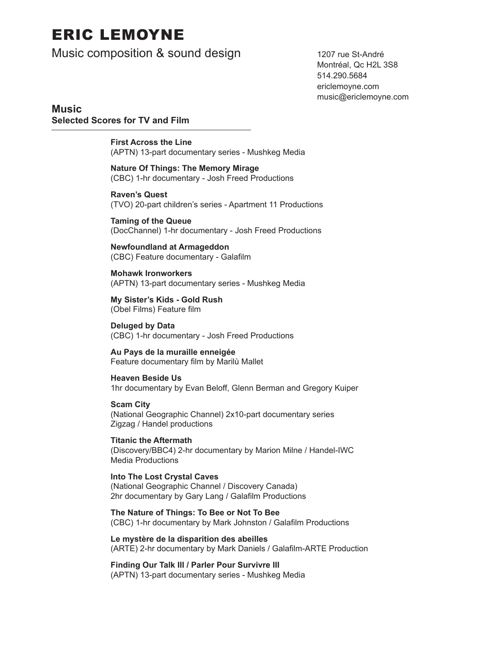# ERIC LEMOYNE

Music composition & sound design 1207 rue St-André

 Montréal, Qc H2L 3S8 514.290.5684 ericlemoyne.com music@ericlemoyne.com

**Music Selected Scores for TV and Film**

> **First Across the Line** (APTN) 13-part documentary series - Mushkeg Media

 **Nature Of Things: The Memory Mirage** (CBC) 1-hr documentary - Josh Freed Productions

 **Raven's Quest** (TVO) 20-part children's series - Apartment 11 Productions

 **Taming of the Queue** (DocChannel) 1-hr documentary - Josh Freed Productions

 **Newfoundland at Armageddon** (CBC) Feature documentary - Galafilm

 **Mohawk Ironworkers** (APTN) 13-part documentary series - Mushkeg Media

 **My Sister's Kids - Gold Rush** (Obel Films) Feature film

 **Deluged by Data** (CBC) 1-hr documentary - Josh Freed Productions

 **Au Pays de la muraille enneigée** Feature documentary film by Marilù Mallet

 **Heaven Beside Us** 1hr documentary by Evan Beloff, Glenn Berman and Gregory Kuiper

 **Scam City** (National Geographic Channel) 2x10-part documentary series Zigzag / Handel productions

 **Titanic the Aftermath** (Discovery/BBC4) 2-hr documentary by Marion Milne / Handel-IWC Media Productions

 **Into The Lost Crystal Caves** (National Geographic Channel / Discovery Canada) 2hr documentary by Gary Lang / Galafilm Productions

 **The Nature of Things: To Bee or Not To Bee** (CBC) 1-hr documentary by Mark Johnston / Galafilm Productions

 **Le mystère de la disparition des abeilles** (ARTE) 2-hr documentary by Mark Daniels / Galafilm-ARTE Production

 **Finding Our Talk III / Parler Pour Survivre III** (APTN) 13-part documentary series - Mushkeg Media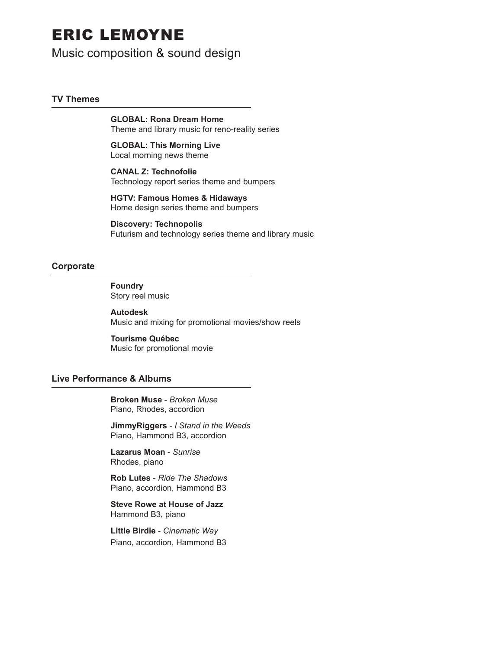## ERIC LEMOYNE

### Music composition & sound design

#### **TV Themes**

 **GLOBAL: Rona Dream Home** Theme and library music for reno-reality series

 **GLOBAL: This Morning Live**  Local morning news theme

 **CANAL Z: Technofolie** Technology report series theme and bumpers

 **HGTV: Famous Homes & Hidaways** Home design series theme and bumpers

 **Discovery: Technopolis** Futurism and technology series theme and library music

#### **Corporate**

 **Foundry** Story reel music

 **Autodesk** Music and mixing for promotional movies/show reels

 **Tourisme Québec** Music for promotional movie

#### **Live Performance & Albums**

 **Broken Muse** - *Broken Muse* Piano, Rhodes, accordion

 **JimmyRiggers** *- I Stand in the Weeds* Piano, Hammond B3, accordion

 **Lazarus Moan** - *Sunrise* Rhodes, piano

 **Rob Lutes** - *Ride The Shadows* Piano, accordion, Hammond B3

 **Steve Rowe at House of Jazz** Hammond B3, piano

 **Little Birdie** - *Cinematic Way* Piano, accordion, Hammond B3